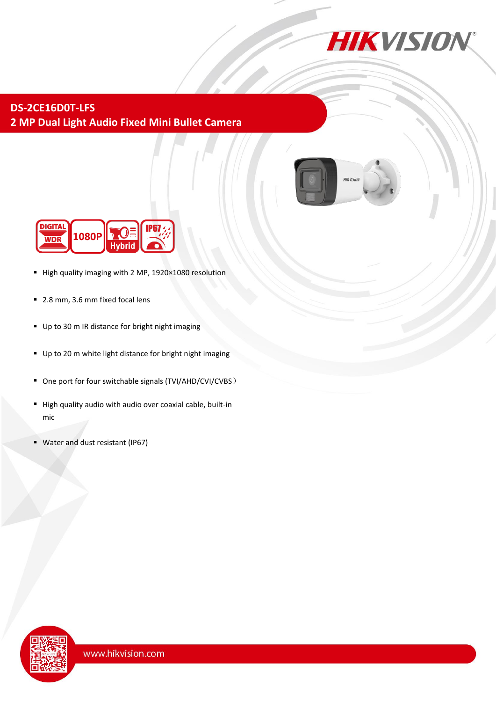

## **DS-2CE16D0T-LFS 2 MP Dual Light Audio Fixed Mini Bullet Camera**





- High quality imaging with 2 MP, 1920×1080 resolution
- 2.8 mm, 3.6 mm fixed focal lens
- Up to 30 m IR distance for bright night imaging
- Up to 20 m white light distance for bright night imaging
- One port for four switchable signals (TVI/AHD/CVI/CVBS)
- High quality audio with audio over coaxial cable, built-in mic
- Water and dust resistant (IP67)

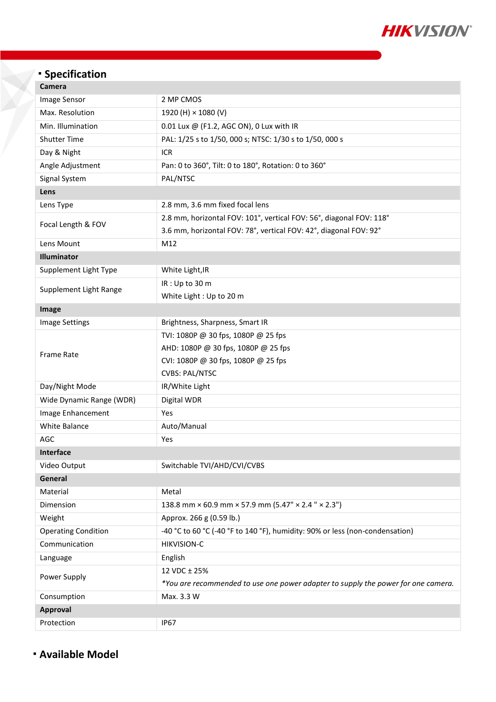

## **Specification**

| Camera                     |                                                                                   |
|----------------------------|-----------------------------------------------------------------------------------|
| Image Sensor               | 2 MP CMOS                                                                         |
| Max. Resolution            | 1920 (H) × 1080 (V)                                                               |
| Min. Illumination          | 0.01 Lux @ (F1.2, AGC ON), 0 Lux with IR                                          |
| <b>Shutter Time</b>        | PAL: 1/25 s to 1/50, 000 s; NTSC: 1/30 s to 1/50, 000 s                           |
| Day & Night                | <b>ICR</b>                                                                        |
| Angle Adjustment           | Pan: 0 to 360°, Tilt: 0 to 180°, Rotation: 0 to 360°                              |
| Signal System              | PAL/NTSC                                                                          |
| Lens                       |                                                                                   |
| Lens Type                  | 2.8 mm, 3.6 mm fixed focal lens                                                   |
| Focal Length & FOV         | 2.8 mm, horizontal FOV: 101°, vertical FOV: 56°, diagonal FOV: 118°               |
|                            | 3.6 mm, horizontal FOV: 78°, vertical FOV: 42°, diagonal FOV: 92°                 |
| Lens Mount                 | M12                                                                               |
| Illuminator                |                                                                                   |
| Supplement Light Type      | White Light, IR                                                                   |
| Supplement Light Range     | IR: Up to 30 m                                                                    |
|                            | White Light : Up to 20 m                                                          |
| Image                      |                                                                                   |
| <b>Image Settings</b>      | Brightness, Sharpness, Smart IR                                                   |
| <b>Frame Rate</b>          | TVI: 1080P @ 30 fps, 1080P @ 25 fps                                               |
|                            | AHD: 1080P @ 30 fps, 1080P @ 25 fps                                               |
|                            | CVI: 1080P @ 30 fps, 1080P @ 25 fps                                               |
|                            | <b>CVBS: PAL/NTSC</b>                                                             |
| Day/Night Mode             | IR/White Light                                                                    |
| Wide Dynamic Range (WDR)   | Digital WDR                                                                       |
| Image Enhancement          | Yes                                                                               |
| White Balance              | Auto/Manual                                                                       |
| AGC                        | Yes                                                                               |
| <b>Interface</b>           |                                                                                   |
| Video Output               | Switchable TVI/AHD/CVI/CVBS                                                       |
| General                    |                                                                                   |
| Material                   | Metal                                                                             |
| Dimension                  | 138.8 mm $\times$ 60.9 mm $\times$ 57.9 mm (5.47" $\times$ 2.4 " $\times$ 2.3")   |
| Weight                     | Approx. 266 g (0.59 lb.)                                                          |
| <b>Operating Condition</b> | -40 °C to 60 °C (-40 °F to 140 °F), humidity: 90% or less (non-condensation)      |
| Communication              | <b>HIKVISION-C</b>                                                                |
| Language                   | English                                                                           |
| Power Supply               | 12 VDC ± 25%                                                                      |
|                            | *You are recommended to use one power adapter to supply the power for one camera. |
| Consumption                | Max. 3.3 W                                                                        |
| <b>Approval</b>            |                                                                                   |
| Protection                 | <b>IP67</b>                                                                       |

**Available Model**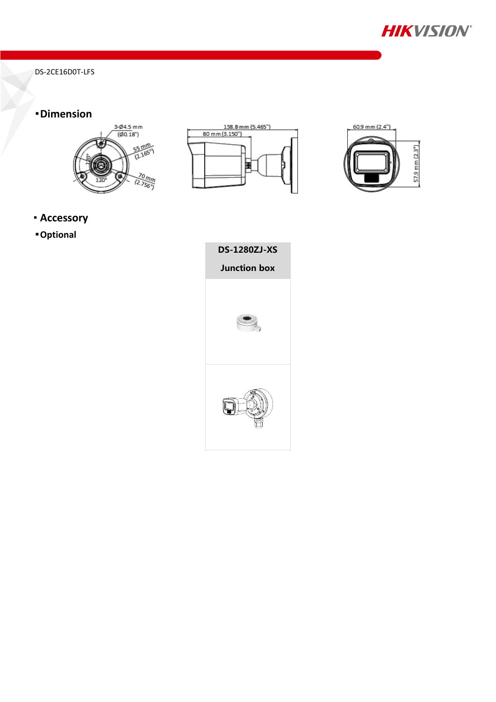

DS-2CE16D0T-LFS

## **Dimension**







- **Accessory**
- **Optional**